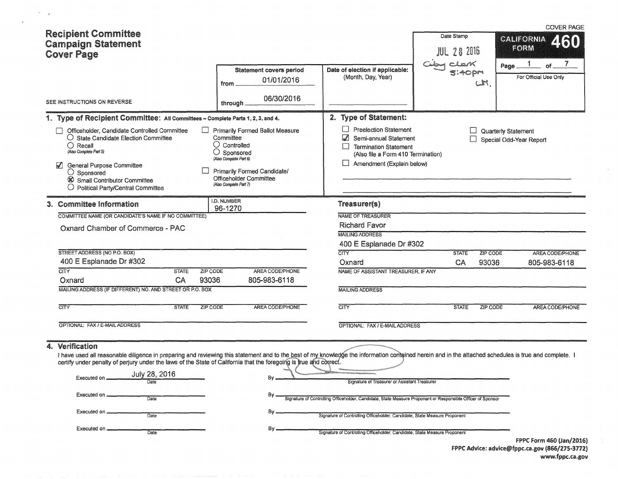| <b>Recipient Committee</b><br><b>Campaign Statement</b><br><b>Cover Page</b>                                                                                                                                                                                                                                                                                                                                                                     |                                                                                                                                                                                                                    |                                                                                                                                                                                                                                                                                                                        | Date Stamp<br>JUL 28 2016       | <b>COVER PAGE</b><br><b>CALIFORNIA</b><br>2130<br>FORM |
|--------------------------------------------------------------------------------------------------------------------------------------------------------------------------------------------------------------------------------------------------------------------------------------------------------------------------------------------------------------------------------------------------------------------------------------------------|--------------------------------------------------------------------------------------------------------------------------------------------------------------------------------------------------------------------|------------------------------------------------------------------------------------------------------------------------------------------------------------------------------------------------------------------------------------------------------------------------------------------------------------------------|---------------------------------|--------------------------------------------------------|
|                                                                                                                                                                                                                                                                                                                                                                                                                                                  | <b>Statement covers period</b><br>01/01/2016<br>from                                                                                                                                                               | Date of election if applicable:<br>(Month, Day, Year)                                                                                                                                                                                                                                                                  | 5:40pm<br>اسما                  | Page.<br>Ωf<br>For Official Use Only                   |
| SEE INSTRUCTIONS ON REVERSE                                                                                                                                                                                                                                                                                                                                                                                                                      | 06/30/2016<br>through                                                                                                                                                                                              |                                                                                                                                                                                                                                                                                                                        |                                 |                                                        |
| 1. Type of Recipient Committee: All Committees - Complete Parts 1, 2, 3, and 4.                                                                                                                                                                                                                                                                                                                                                                  |                                                                                                                                                                                                                    | 2. Type of Statement:                                                                                                                                                                                                                                                                                                  |                                 |                                                        |
| Officeholder, Candidate Controlled Committee<br>П<br>$\vert \ \ \vert$<br>O State Candidate Election Committee<br>$\bigcirc$ Recall<br>(Also Complete Part 5)<br>$\blacktriangledown$<br>General Purpose Committee<br>$\bigcirc$ Sponsored<br>Small Contributor Committee<br>$\bigcirc$ Political Party/Central Committee                                                                                                                        | <b>Primarily Formed Ballot Measure</b><br>Committee<br>$\bigcirc$ Controlled<br>О<br>Sponsored<br>(Also Complete Part 6)<br><b>Primarily Formed Candidate/</b><br>Officeholder Committee<br>(Also Complete Part 7) | <b>Preelection Statement</b><br>M<br>Semi-annual Statement<br><b>Termination Statement</b><br>$\vert \vert$<br>(Also file a Form 410 Termination)<br>Amendment (Explain below)                                                                                                                                         |                                 | Quarterly Statement<br>Special Odd-Year Report         |
| 3. Committee Information                                                                                                                                                                                                                                                                                                                                                                                                                         | I.D. NUMBER<br>96-1270                                                                                                                                                                                             | Treasurer(s)                                                                                                                                                                                                                                                                                                           |                                 |                                                        |
| COMMITTEE NAME (OR CANDIDATE'S NAME IF NO COMMITTEE)                                                                                                                                                                                                                                                                                                                                                                                             |                                                                                                                                                                                                                    | NAME OF TREASURER                                                                                                                                                                                                                                                                                                      |                                 |                                                        |
| Oxnard Chamber of Commerce - PAC                                                                                                                                                                                                                                                                                                                                                                                                                 |                                                                                                                                                                                                                    | <b>Richard Favor</b><br><b>MAILING ADDRESS</b>                                                                                                                                                                                                                                                                         |                                 |                                                        |
|                                                                                                                                                                                                                                                                                                                                                                                                                                                  |                                                                                                                                                                                                                    | 400 E Esplanade Dr #302                                                                                                                                                                                                                                                                                                |                                 |                                                        |
| STREET ADDRESS (NO P.O. BOX)                                                                                                                                                                                                                                                                                                                                                                                                                     |                                                                                                                                                                                                                    | <b>CITY</b>                                                                                                                                                                                                                                                                                                            | <b>STATE</b><br><b>ZIP CODE</b> | <b>AREA CODE/PHONE</b>                                 |
| 400 E Esplanade Dr #302                                                                                                                                                                                                                                                                                                                                                                                                                          |                                                                                                                                                                                                                    | Oxnard                                                                                                                                                                                                                                                                                                                 | CA<br>93036                     | 805-983-6118                                           |
| <b>CITY</b><br><b>STATE</b><br>ZIP CODE                                                                                                                                                                                                                                                                                                                                                                                                          | AREA CODE/PHONE                                                                                                                                                                                                    | NAME OF ASSISTANT TREASURER, IF ANY                                                                                                                                                                                                                                                                                    |                                 |                                                        |
| 93036<br>CA<br>Oxnard<br>MAILING ADDRESS (IF DIFFERENT) NO. AND STREET OR P.O. BOX                                                                                                                                                                                                                                                                                                                                                               | 805-983-6118                                                                                                                                                                                                       | <b>MAILING ADDRESS</b>                                                                                                                                                                                                                                                                                                 |                                 |                                                        |
|                                                                                                                                                                                                                                                                                                                                                                                                                                                  |                                                                                                                                                                                                                    |                                                                                                                                                                                                                                                                                                                        |                                 |                                                        |
| $\overline{\text{CITY}}$<br><b>STATE</b><br>ZIP CODE                                                                                                                                                                                                                                                                                                                                                                                             | AREA CODE/PHONE                                                                                                                                                                                                    | <b>CITY</b>                                                                                                                                                                                                                                                                                                            | <b>STATE</b><br>ZIP CODE        | AREA CODE/PHONE                                        |
| OPTIONAL: FAX / E-MAIL ADDRESS                                                                                                                                                                                                                                                                                                                                                                                                                   |                                                                                                                                                                                                                    | OPTIONAL: FAX / E-MAIL ADDRESS                                                                                                                                                                                                                                                                                         |                                 |                                                        |
| Verification<br>4.<br>I have used all reasonable diligence in preparing and reviewing this statement and to the best of my knowledge the information contained herein and in the attached schedules is true and complete. I<br>certify under penalty of perjury under the laws of the State of California that the foregoing is true and correct.<br>July 28, 2016<br>Executed on<br><b>Date</b><br>Executed on<br>Date<br>Executed on _<br>Date | By.<br>By.<br>By _<br>By.                                                                                                                                                                                          | Signature of Treasurer or Assistant Treasurer<br>Signature of Controlling Officeholder, Candidate, State Measure Proponent or Responsible Officer of Sponsor<br>Signature of Controlling Officeholder, Candidate, State Measure Proponent<br>Signature of Controlling Officeholder, Candidate, State Measure Proponent |                                 | FPPC Form 460 (Jan/2016)                               |
|                                                                                                                                                                                                                                                                                                                                                                                                                                                  |                                                                                                                                                                                                                    |                                                                                                                                                                                                                                                                                                                        |                                 | FPPC Advice: advice@fppc.ca.gov (866/275-3772)         |

 $\mathcal{O}(\mathcal{F})$  ,  $\mathcal{F}$ 

 $\sim$   $\alpha$ 

 $\sim$ 

 $\mathcal{A}^{\mathcal{A}}$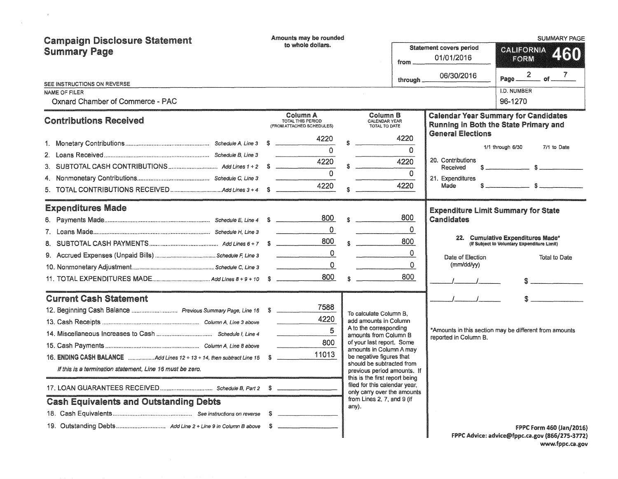| <b>Campaign Disclosure Statement</b>                                  | Amounts may be rounded                                            |                                                               |                                               |                                | <b>SUMMARY PAGE</b>                                                                  |  |
|-----------------------------------------------------------------------|-------------------------------------------------------------------|---------------------------------------------------------------|-----------------------------------------------|--------------------------------|--------------------------------------------------------------------------------------|--|
| <b>Summary Page</b>                                                   | to whole dollars.                                                 |                                                               | Statement covers period<br>01/01/2016<br>from |                                | CALIFORNIA<br>460<br>FORM                                                            |  |
|                                                                       |                                                                   |                                                               | through.                                      | 06/30/2016                     | Page $\frac{2}{\sqrt{7}}$ of $\frac{7}{\sqrt{7}}$                                    |  |
| SEE INSTRUCTIONS ON REVERSE<br>NAME OF FILER                          |                                                                   |                                                               |                                               |                                | I.D. NUMBER                                                                          |  |
| Oxnard Chamber of Commerce - PAC                                      |                                                                   |                                                               |                                               |                                | 96-1270                                                                              |  |
| <b>Contributions Received</b>                                         | <b>Column A</b><br>TOTAL THIS PERIOD<br>(FROM ATTACHED SCHEDULES) | Column B<br><b>CALENDAR YEAR</b><br>TOTAL TO DATE             |                                               |                                | <b>Calendar Year Summary for Candidates</b><br>Running in Both the State Primary and |  |
|                                                                       | 4220                                                              |                                                               | 4220                                          | <b>General Elections</b>       |                                                                                      |  |
|                                                                       | $\Omega$                                                          |                                                               | $\Omega$                                      |                                | 1/1 through 6/30<br>7/1 to Date                                                      |  |
|                                                                       | 4220                                                              |                                                               | 4220                                          | 20. Contributions              |                                                                                      |  |
| 4.                                                                    | $\overline{0}$                                                    |                                                               | $\mathbf 0$                                   | Received<br>21. Expenditures   |                                                                                      |  |
|                                                                       | 4220                                                              |                                                               | 4220                                          | Made                           | $s$ $s$                                                                              |  |
| <b>Expenditures Made</b>                                              |                                                                   |                                                               |                                               |                                |                                                                                      |  |
|                                                                       | 800                                                               | $\sim$                                                        | 800                                           | Candidates                     | <b>Expenditure Limit Summary for State</b>                                           |  |
|                                                                       | $\Omega$                                                          |                                                               | 0                                             |                                |                                                                                      |  |
|                                                                       | 800                                                               | $\sim$                                                        | 800                                           |                                | 22. Cumulative Expenditures Made*<br>(If Subject to Voluntary Expenditure Limit)     |  |
|                                                                       | $\mathbf 0$                                                       |                                                               | 0                                             |                                |                                                                                      |  |
|                                                                       | $\mathbf 0$                                                       |                                                               | 0                                             | Date of Election<br>(mm/dd/yy) | Total to Date                                                                        |  |
|                                                                       | 800                                                               | \$.                                                           | 800                                           |                                |                                                                                      |  |
|                                                                       |                                                                   |                                                               |                                               |                                |                                                                                      |  |
| <b>Current Cash Statement</b>                                         | 7588                                                              |                                                               |                                               | $\mathcal{L} = \mathcal{L}$    | S                                                                                    |  |
|                                                                       | 4220                                                              | To calculate Column B,                                        |                                               |                                |                                                                                      |  |
|                                                                       | 5                                                                 | add amounts in Column<br>A to the corresponding               |                                               |                                | *Amounts in this section may be different from amounts                               |  |
|                                                                       | 800                                                               | amounts from Column B<br>of your last report. Some            |                                               | reported in Column B.          |                                                                                      |  |
|                                                                       | 11013                                                             | amounts in Column A may                                       |                                               |                                |                                                                                      |  |
| 16. ENDING CASH BALANCE Add Lines 12 + 13 + 14, then subtract Line 15 | S                                                                 | be negative figures that<br>should be subtracted from         |                                               |                                |                                                                                      |  |
| If this is a termination statement. Line 16 must be zero.             |                                                                   | previous period amounts. If<br>this is the first report being |                                               |                                |                                                                                      |  |
|                                                                       |                                                                   | filed for this calendar year,<br>only carry over the amounts  |                                               |                                |                                                                                      |  |
| <b>Cash Equivalents and Outstanding Debts</b>                         |                                                                   | from Lines 2, 7, and 9 (if<br>any).                           |                                               |                                |                                                                                      |  |
|                                                                       | S                                                                 |                                                               |                                               |                                |                                                                                      |  |
|                                                                       |                                                                   |                                                               |                                               |                                | FPPC Form 460 (Jan/2016)                                                             |  |
|                                                                       |                                                                   |                                                               |                                               |                                | FPPC Advice: advice@fppc.ca.gov (866/275-3772)                                       |  |

 $\mathcal{O}(\mathcal{O}(\log n))$ 

 $\mathcal{L}^{\text{max}}_{\text{max}}$ 

FPPC Advice: advice@fppc.ca.gov {866/275-3772) www.fppc.ca.gov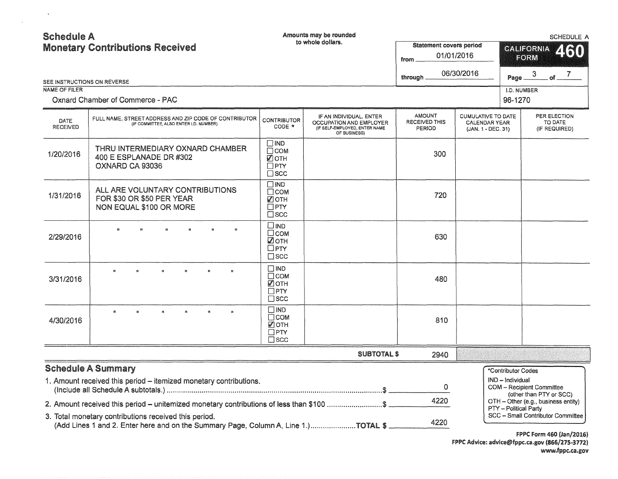| <b>Schedule A</b>                                                                                                                                                                                                                                                                                             | <b>Monetary Contributions Received</b>                                                          |                                                                      | Amounts may be rounded<br>to whole dollars.                                                         | <b>Statement covers period</b><br>from                 | 01/01/2016                                                              | <b>SCHEDULE A</b><br><b>CALIFORNIA</b><br>260<br>FORM |                                          |  |  |
|---------------------------------------------------------------------------------------------------------------------------------------------------------------------------------------------------------------------------------------------------------------------------------------------------------------|-------------------------------------------------------------------------------------------------|----------------------------------------------------------------------|-----------------------------------------------------------------------------------------------------|--------------------------------------------------------|-------------------------------------------------------------------------|-------------------------------------------------------|------------------------------------------|--|--|
| SEE INSTRUCTIONS ON REVERSE                                                                                                                                                                                                                                                                                   |                                                                                                 |                                                                      |                                                                                                     | through.                                               | 06/30/2016                                                              | Page.                                                 | $\mathbf{3}$<br>. of $ ^7$               |  |  |
| NAME OF FILER                                                                                                                                                                                                                                                                                                 |                                                                                                 |                                                                      |                                                                                                     |                                                        |                                                                         | <b>I.D. NUMBER</b>                                    |                                          |  |  |
|                                                                                                                                                                                                                                                                                                               | Oxnard Chamber of Commerce - PAC                                                                |                                                                      |                                                                                                     |                                                        |                                                                         | 96-1270                                               |                                          |  |  |
| <b>DATE</b><br><b>RECEIVED</b>                                                                                                                                                                                                                                                                                | FULL NAME, STREET ADDRESS AND ZIP CODE OF CONTRIBUTOR<br>(IF COMMITTEE, ALSO ENTER I.D. NUMBER) | <b>CONTRIBUTOR</b><br>CODE *                                         | IF AN INDIVIDUAL, ENTER<br>OCCUPATION AND EMPLOYER<br>(IF SELF-EMPLOYED, ENTER NAME<br>OF BUSINESS) | <b>AMOUNT</b><br><b>RECEIVED THIS</b><br><b>PERIOD</b> | <b>CUMULATIVE TO DATE</b><br><b>CALENDAR YEAR</b><br>(JAN. 1 - DEC. 31) |                                                       | PER ELECTION<br>TO DATE<br>(IF REQUIRED) |  |  |
| 1/20/2016                                                                                                                                                                                                                                                                                                     | THRU INTERMEDIARY OXNARD CHAMBER<br>400 E ESPLANADE DR #302<br>OXNARD CA 93036                  | $\square$ IND<br>$\Box$ COM<br>■ОТН<br>$\Box$ PTY<br>$\square$ SCC   |                                                                                                     | 300                                                    |                                                                         |                                                       |                                          |  |  |
| 1/31/2016                                                                                                                                                                                                                                                                                                     | ALL ARE VOLUNTARY CONTRIBUTIONS<br>FOR \$30 OR \$50 PER YEAR<br>NON EQUAL \$100 OR MORE         | $\square$ IND<br>$\Box$ COM<br>Ӣѹн<br>$\square$ PTY<br>$\square$ scc |                                                                                                     | 720                                                    |                                                                         |                                                       |                                          |  |  |
| 2/29/2016                                                                                                                                                                                                                                                                                                     | $\mathbf{u}$                                                                                    | $\square$ IND<br>$\Box$ COM<br>☑отн<br>$\square$ PTY<br>$\Box$ SCC   |                                                                                                     | 630                                                    |                                                                         |                                                       |                                          |  |  |
| 3/31/2016                                                                                                                                                                                                                                                                                                     | ar.                                                                                             | $\square$ IND<br>$\Box$ COM<br>■ОТН<br>$\Box$ PTY<br>$\square$ SCC   |                                                                                                     | 480                                                    |                                                                         |                                                       |                                          |  |  |
| 4/30/2016                                                                                                                                                                                                                                                                                                     | $\mathbf{H}$<br>n<br>$\pmb{v}$<br>$\mathbf{p}_k$<br>80<br>$\mathfrak{g}_{\mathfrak{p}}$         | $\square$ IND<br>$\Box$ COM<br>☑отн<br>$\square$ PTY<br>$\sqcap$ scc |                                                                                                     | 810                                                    |                                                                         |                                                       |                                          |  |  |
|                                                                                                                                                                                                                                                                                                               |                                                                                                 |                                                                      | <b>SUBTOTAL \$</b>                                                                                  | 2940                                                   |                                                                         |                                                       |                                          |  |  |
|                                                                                                                                                                                                                                                                                                               | <b>Schedule A Summary</b>                                                                       |                                                                      |                                                                                                     |                                                        |                                                                         | *Contributor Codes                                    |                                          |  |  |
|                                                                                                                                                                                                                                                                                                               | 1. Amount received this period - itemized monetary contributions.                               | 0                                                                    |                                                                                                     | IND - Individual                                       | COM - Recipient Committee<br>(other than PTY or SCC)                    |                                                       |                                          |  |  |
|                                                                                                                                                                                                                                                                                                               |                                                                                                 |                                                                      |                                                                                                     | 4220                                                   |                                                                         |                                                       | OTH - Other (e.g., business entity)      |  |  |
| 2. Amount received this period – unitemized monetary contributions of less than \$100 \$<br>PTY - Political Party<br>SCC - Small Contributor Committee<br>3. Total monetary contributions received this period.<br>4220<br>(Add Lines 1 and 2. Enter here and on the Summary Page, Column A, Line 1.)TOTAL \$ |                                                                                                 |                                                                      |                                                                                                     |                                                        |                                                                         |                                                       |                                          |  |  |

 $\mathcal{O}(\mathcal{O}(\log n))$ 

 $\mathcal{L}^{\text{max}}$  and  $\mathcal{L}^{\text{max}}$ 

FPPC Form 460 (Jan/2016) FPPC Advice: advice@fppc.ca.gov (866/275-3772) www.fppc.ca.gov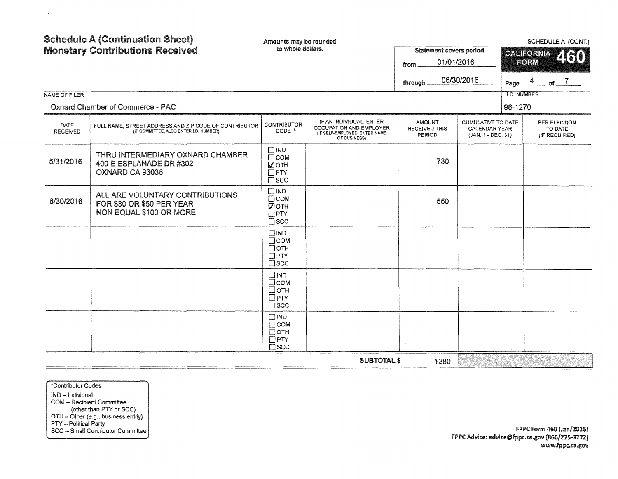| NAME OF FILER                  | <b>Schedule A (Continuation Sheet)</b><br><b>Monetary Contributions Received</b><br>Oxnard Chamber of Commerce - PAC | Amounts may be rounded<br>to whole dollars.                                 |                                                                                                     | <b>Statement covers period</b><br>01/01/2016<br>from<br>through | 06/30/2016                                                              | Page.<br><b>I.D. NUMBER</b> | SCHEDULE A (CONT.)<br><b>CALIFORNIA</b><br>460<br>FORM<br>4<br>of $\overline{\phantom{a}7}$ |  |
|--------------------------------|----------------------------------------------------------------------------------------------------------------------|-----------------------------------------------------------------------------|-----------------------------------------------------------------------------------------------------|-----------------------------------------------------------------|-------------------------------------------------------------------------|-----------------------------|---------------------------------------------------------------------------------------------|--|
|                                |                                                                                                                      |                                                                             |                                                                                                     |                                                                 |                                                                         | 96-1270                     |                                                                                             |  |
| <b>DATE</b><br><b>RECEIVED</b> | FULL NAME, STREET ADDRESS AND ZIP CODE OF CONTRIBUTOR<br>(IF COMMITTEE, ALSO ENTER I.D. NUMBER)                      | <b>CONTRIBUTOR</b><br>$CODE *$                                              | IF AN INDIVIDUAL, ENTER<br>OCCUPATION AND EMPLOYER<br>(IF SELF-EMPLOYED, ENTER NAME<br>OF BUSINESS) | <b>AMOUNT</b><br><b>RECEIVED THIS</b><br>PERIOD                 | <b>CUMULATIVE TO DATE</b><br><b>CALENDAR YEAR</b><br>(JAN. 1 - DEC. 31) |                             | PER ELECTION<br>TO DATE<br>(IF REQUIRED)                                                    |  |
| 5/31/2016                      | THRU INTERMEDIARY OXNARD CHAMBER<br>400 E ESPLANADE DR #302<br>OXNARD CA 93036                                       | $\square$ IND<br>$\Box$ COM<br>√ OTH<br>$\square$ PTY<br>$\square$ scc      |                                                                                                     | 730                                                             |                                                                         |                             |                                                                                             |  |
| 6/30/2016                      | ALL ARE VOLUNTARY CONTRIBUTIONS<br>FOR \$30 OR \$50 PER YEAR<br><b>NON EQUAL \$100 OR MORE</b>                       | $\square$ IND<br>$\Box$ COM<br>■ОТН<br>$\Box$ PTY<br>$\square$ scc          |                                                                                                     | 550                                                             |                                                                         |                             |                                                                                             |  |
|                                |                                                                                                                      | $\Box$ IND<br>$\Box$ COM<br>$\Box$ OTH<br>$\Box$ PTY<br>$\square$ scc       |                                                                                                     |                                                                 |                                                                         |                             |                                                                                             |  |
|                                |                                                                                                                      | $\square$ IND<br>$\Box$ COM<br>□отн<br>$\square$ PTY<br>$\square$ scc       |                                                                                                     |                                                                 |                                                                         |                             |                                                                                             |  |
|                                |                                                                                                                      | $\square$ IND<br>$\Box$ COM<br>$\Box$ OTH<br>$\square$ PTY<br>$\square$ scc |                                                                                                     |                                                                 |                                                                         |                             |                                                                                             |  |
|                                |                                                                                                                      |                                                                             | <b>SUBTOTAL \$</b>                                                                                  | 1280                                                            |                                                                         |                             |                                                                                             |  |

\*Contributor Codes IND - Individual COM - Recipient Committee (other than PTY or SCC) OTH - Other (e.g., business entity) PTY - Political Party SCC - Small Contributor Committee

 $\langle \hat{\mathbf{n}} \rangle$ 

 $\sim 100$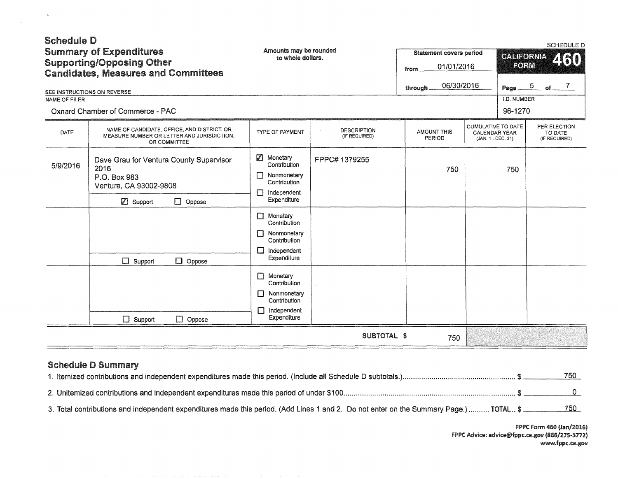| <b>Schedule D</b><br><b>Summary of Expenditures</b><br><b>Supporting/Opposing Other</b><br><b>Candidates, Measures and Committees</b><br>SEE INSTRUCTIONS ON REVERSE<br>NAME OF FILER<br><b>Oxnard Chamber of Commerce - PAC</b> |                                                                                                                                                          | Amounts may be rounded<br>to whole dollars.                                                                                                                                                                           |                                     | <b>Statement covers period</b><br>01/01/2016<br>from<br>06/30/2016<br>through. |                                                                         | <b>SCHEDULE D</b><br>CALIFORNIA<br>460<br>FORM<br>$\frac{5}{2}$ of $\frac{7}{2}$<br>Page __<br>I.D. NUMBER<br>96-1270 |                                          |  |
|----------------------------------------------------------------------------------------------------------------------------------------------------------------------------------------------------------------------------------|----------------------------------------------------------------------------------------------------------------------------------------------------------|-----------------------------------------------------------------------------------------------------------------------------------------------------------------------------------------------------------------------|-------------------------------------|--------------------------------------------------------------------------------|-------------------------------------------------------------------------|-----------------------------------------------------------------------------------------------------------------------|------------------------------------------|--|
| DATE                                                                                                                                                                                                                             | NAME OF CANDIDATE, OFFICE, AND DISTRICT, OR<br>MEASURE NUMBER OR LETTER AND JURISDICTION.<br>OR COMMITTEE                                                | TYPE OF PAYMENT                                                                                                                                                                                                       | <b>DESCRIPTION</b><br>(IF REQUIRED) | <b>AMOUNT THIS</b><br>PERIOD                                                   | <b>CUMULATIVE TO DATE</b><br><b>CALENDAR YEAR</b><br>(JAN. 1 - DEC. 31) |                                                                                                                       | PER ELECTION<br>TO DATE<br>(IF REQUIRED) |  |
| 5/9/2016                                                                                                                                                                                                                         | Dave Grau for Ventura County Supervisor<br>2016<br>P.O. Box 983<br>Ventura, CA 93002-9808<br>Support<br>$\Box$ Oppose<br>$\Box$ Support<br>$\Box$ Oppose | $\nabla$ Monetary<br>Contribution<br>Nonmonetary<br>П<br>Contribution<br>Independent<br>П<br>Expenditure<br>Monetary<br>$\Box$<br>Contribution<br>Nonmonetary<br>П<br>Contribution<br>П<br>Independent<br>Expenditure | FPPC# 1379255                       | 750                                                                            |                                                                         | 750                                                                                                                   |                                          |  |
|                                                                                                                                                                                                                                  | $\Box$ Support<br>$\Box$ Oppose                                                                                                                          | $\Box$ Monetary<br>Contribution<br>$\Box$ Nonmonetary<br>Contribution<br>П<br>Independent<br>Expenditure                                                                                                              |                                     |                                                                                |                                                                         |                                                                                                                       |                                          |  |
|                                                                                                                                                                                                                                  |                                                                                                                                                          |                                                                                                                                                                                                                       | SUBTOTAL \$                         | 750                                                                            |                                                                         |                                                                                                                       |                                          |  |

## Schedule D Summary

 $\alpha$ 

 $\sim$   $\sim$ 

|                                                                                                                                        | 750  |
|----------------------------------------------------------------------------------------------------------------------------------------|------|
|                                                                                                                                        |      |
| 3. Total contributions and independent expenditures made this period. (Add Lines 1 and 2. Do not enter on the Summary Page.)  TOTAL \$ | 750. |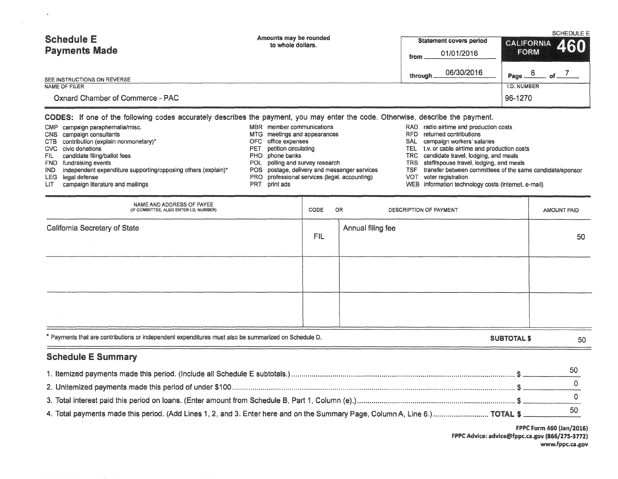| <b>Schedule E</b><br><b>Payments Made</b> | Amounts may be rounded<br>to whole dollars. | Statement covers period | <b>SCHEDULE E</b><br>CALIFORNIA 460 |  |  |
|-------------------------------------------|---------------------------------------------|-------------------------|-------------------------------------|--|--|
|                                           |                                             | 01/01/2016<br>from.     | FORM                                |  |  |
| SEE INSTRUCTIONS ON REVERSE               |                                             | 06/30/2016<br>through.  | Page.                               |  |  |
| NAME OF FILER                             |                                             |                         | I.D. NUMBER                         |  |  |
| Oxnard Chamber of Commerce - PAC          |                                             |                         | 96-1270                             |  |  |

## CODES: if one of the following codes accurately describes the payment, you may enter the code. Otherwise, describe the payment.

|      | CMP campaign paraphernalia/misc.                                    | MBR member communications                     | RAD. | radio airtime and production costs                        |
|------|---------------------------------------------------------------------|-----------------------------------------------|------|-----------------------------------------------------------|
|      | CNS campaign consultants                                            | MTG meetings and appearances                  | RFD. | returned contributions                                    |
|      | CTB contribution (explain nonmonetary)*                             | OFC office expenses                           | SAL  | campaign workers' salaries                                |
|      | CVC civic donations                                                 | <b>PET</b> petition circulating               |      | TEL t.v. or cable airtime and production costs            |
| FIL  | candidate filing/ballot fees                                        | PHO phone banks                               |      | TRC candidate travel, lodging, and meals                  |
|      | FND fundraising events                                              | POL polling and survey research               |      | TRS staff/spouse travel, lodging, and meals               |
|      | $IND$ independent expenditure supporting/opposing others (explain)* | POS postage, delivery and messenger services  | rsF  | transfer between committees of the same candidate/sponsor |
|      | LEG legal defense                                                   | PRO professional services (legal, accounting) | VOT  | voter registration                                        |
| LIT. | campaign literature and mailings                                    | PRT print ads                                 |      | WEB information technology costs (internet, e-mail)       |

| NAME AND ADDRESS OF PAYEE<br>(IF COMMITTEE, ALSO ENTER I.D. NUMBER)                                  | CODE       | OR<br>DESCRIPTION OF PAYMENT |                    | AMOUNT PAID |
|------------------------------------------------------------------------------------------------------|------------|------------------------------|--------------------|-------------|
| California Secretary of State                                                                        | <b>FIL</b> | Annual filing fee            |                    | 50          |
|                                                                                                      |            |                              |                    |             |
|                                                                                                      |            |                              |                    |             |
| * Payments that are contributions or independent expenditures must also be summarized on Schedule D. |            |                              | <b>SUBTOTAL \$</b> | 50          |

## Schedule E Summary

 $\overline{a}$ 

| 4. Total payments made this period. (Add Lines 1, 2, and 3. Enter here and on the Summary Page, Column A, Line 6.)  TOTAL \$ |  |
|------------------------------------------------------------------------------------------------------------------------------|--|

FPPC Form 460 (Jan/2016) FPPC Advice: advice@fppc.ca.gov (866/275-3772) www.fppc.ca.gov